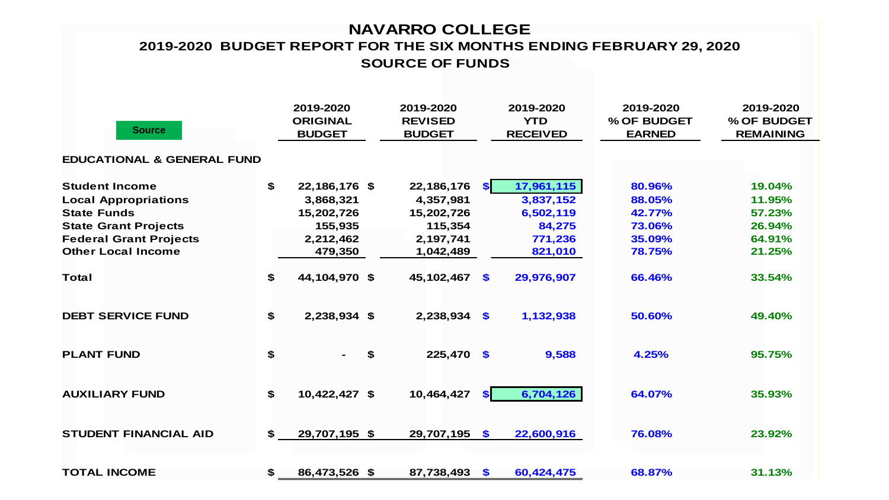#### **NAVARRO COLLEGE SOURCE OF FUNDS 2019-2020 BUDGET REPORT FOR THE SIX MONTHS ENDING FEBRUARY 29, 2020**

| <b>Source</b>                         |              | 2019-2020<br><b>ORIGINAL</b><br><b>BUDGET</b> | 2019-2020<br><b>REVISED</b><br><b>BUDGET</b> |               | 2019-2020<br><b>YTD</b><br><b>RECEIVED</b> | 2019-2020<br>% OF BUDGET<br><b>EARNED</b> | 2019-2020<br>% OF BUDGET<br><b>REMAINING</b> |
|---------------------------------------|--------------|-----------------------------------------------|----------------------------------------------|---------------|--------------------------------------------|-------------------------------------------|----------------------------------------------|
| <b>EDUCATIONAL &amp; GENERAL FUND</b> |              |                                               |                                              |               |                                            |                                           |                                              |
| <b>Student Income</b>                 | $\mathbf{s}$ | 22,186,176 \$                                 | 22,186,176                                   | <b>SI</b>     | 17,961,115                                 | 80.96%                                    | 19.04%                                       |
| <b>Local Appropriations</b>           |              | 3,868,321                                     | 4,357,981                                    |               | 3,837,152                                  | 88.05%                                    | 11.95%                                       |
| <b>State Funds</b>                    |              | 15,202,726                                    | 15,202,726                                   |               | 6,502,119                                  | 42.77%                                    | 57.23%                                       |
| <b>State Grant Projects</b>           |              | 155,935                                       | 115,354                                      |               | 84,275                                     | 73.06%                                    | 26.94%                                       |
| <b>Federal Grant Projects</b>         |              | 2,212,462                                     | 2,197,741                                    |               | 771,236                                    | 35.09%                                    | 64.91%                                       |
| <b>Other Local Income</b>             |              | 479,350                                       | 1,042,489                                    |               | 821,010                                    | 78.75%                                    | 21.25%                                       |
| <b>Total</b>                          | \$           | 44,104,970 \$                                 | 45,102,467                                   | $\mathbf{\$}$ | 29,976,907                                 | 66.46%                                    | 33.54%                                       |
| <b>DEBT SERVICE FUND</b>              | \$           | 2,238,934 \$                                  | $2,238,934$ \$                               |               | 1,132,938                                  | 50.60%                                    | 49.40%                                       |
| <b>PLANT FUND</b>                     | \$           |                                               | \$<br>225,470 \$                             |               | 9,588                                      | 4.25%                                     | 95.75%                                       |
| <b>AUXILIARY FUND</b>                 | $\mathbf s$  | 10,422,427 \$                                 | 10,464,427                                   | <b>SI</b>     | 6,704,126                                  | 64.07%                                    | 35.93%                                       |
| <b>STUDENT FINANCIAL AID</b>          | \$           | 29,707,195 \$                                 | 29,707,195 \$                                |               | 22,600,916                                 | 76.08%                                    | 23.92%                                       |
| <b>TOTAL INCOME</b>                   | \$           | 86,473,526 \$                                 | 87,738,493 \$                                |               | 60,424,475                                 | 68.87%                                    | 31.13%                                       |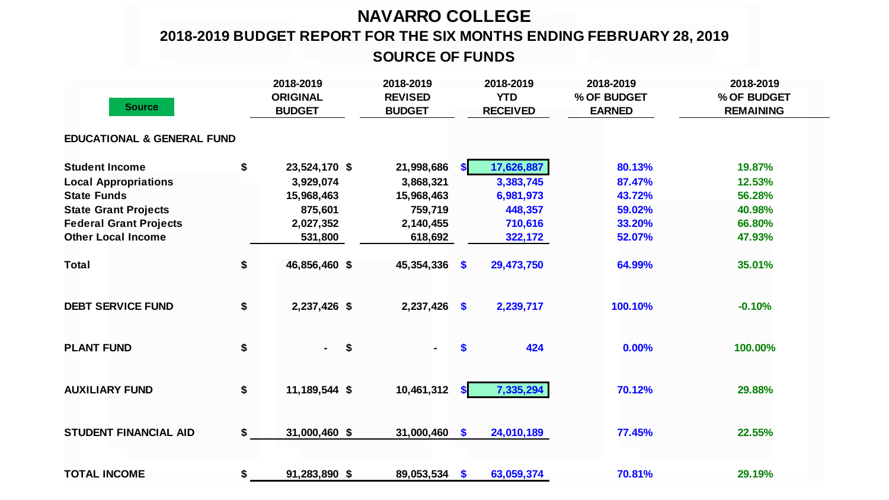# **NAVARRO COLLEGE**

# **2018-2019 BUDGET REPORT FOR THE SIX MONTHS ENDING FEBRUARY 28, 2019**

## **SOURCE OF FUNDS**

| <b>Source</b>                         |    | 2018-2019<br><b>ORIGINAL</b><br><b>BUDGET</b> | 2018-2019<br><b>REVISED</b><br><b>BUDGET</b> |              | 2018-2019<br><b>YTD</b><br><b>RECEIVED</b> | 2018-2019<br>% OF BUDGET<br><b>EARNED</b> | 2018-2019<br>% OF BUDGET<br><b>REMAINING</b> |  |
|---------------------------------------|----|-----------------------------------------------|----------------------------------------------|--------------|--------------------------------------------|-------------------------------------------|----------------------------------------------|--|
| <b>EDUCATIONAL &amp; GENERAL FUND</b> |    |                                               |                                              |              |                                            |                                           |                                              |  |
| <b>Student Income</b>                 | \$ | 23,524,170 \$                                 | 21,998,686                                   | <b>SI</b>    | 17,626,887                                 | 80.13%                                    | 19.87%                                       |  |
| <b>Local Appropriations</b>           |    | 3,929,074                                     | 3,868,321                                    |              | 3,383,745                                  | 87.47%                                    | 12.53%                                       |  |
| <b>State Funds</b>                    |    | 15,968,463                                    | 15,968,463                                   |              | 6,981,973                                  | 43.72%                                    | 56.28%                                       |  |
| <b>State Grant Projects</b>           |    | 875,601                                       | 759,719                                      |              | 448,357                                    | 59.02%                                    | 40.98%                                       |  |
| <b>Federal Grant Projects</b>         |    | 2,027,352                                     | 2,140,455                                    |              | 710,616                                    | 33.20%                                    | 66.80%                                       |  |
| <b>Other Local Income</b>             |    | 531,800                                       | 618,692                                      |              | 322,172                                    | 52.07%                                    | 47.93%                                       |  |
| <b>Total</b>                          | \$ | 46,856,460 \$                                 | $45,354,336$ \$                              |              | 29,473,750                                 | 64.99%                                    | 35.01%                                       |  |
| <b>DEBT SERVICE FUND</b>              | \$ | 2,237,426 \$                                  | $2,237,426$ \$                               |              | 2,239,717                                  | 100.10%                                   | $-0.10%$                                     |  |
| <b>PLANT FUND</b>                     | \$ | \$<br>$\sim$                                  |                                              | \$           | 424                                        | 0.00%                                     | 100.00%                                      |  |
| <b>AUXILIARY FUND</b>                 | \$ | 11,189,544 \$                                 | 10,461,312                                   | $\mathbf{s}$ | 7,335,294                                  | 70.12%                                    | 29.88%                                       |  |
| <b>STUDENT FINANCIAL AID</b>          | \$ | 31,000,460 \$                                 | $31,000,460$ \$                              |              | 24,010,189                                 | 77.45%                                    | 22.55%                                       |  |
| <b>TOTAL INCOME</b>                   | \$ | 91,283,890 \$                                 | 89,053,534 \$                                |              | 63,059,374                                 | 70.81%                                    | 29.19%                                       |  |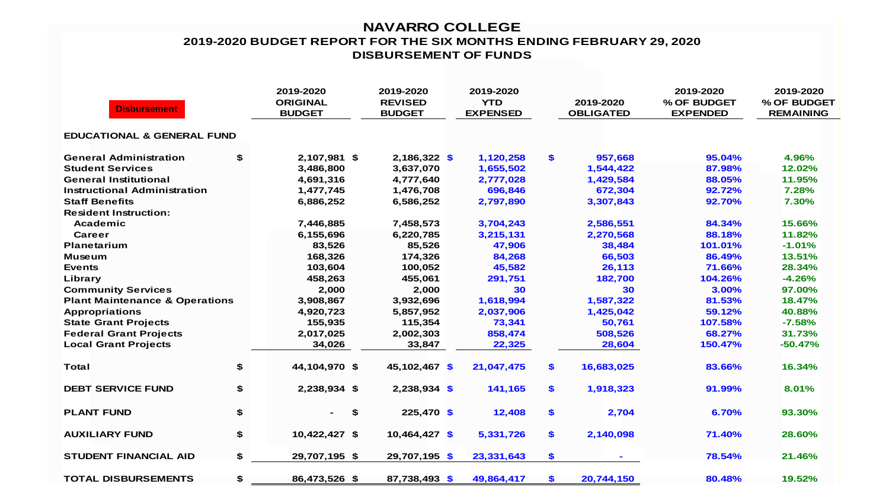#### **NAVARRO COLLEGE 2019-2020 BUDGET REPORT FOR THE SIX MONTHS ENDING FEBRUARY 29, 2020 DISBURSEMENT OF FUNDS**

| <b>Disbursement</b>                       |    | 2019-2020<br><b>ORIGINAL</b><br><b>BUDGET</b> | 2019-2020<br><b>REVISED</b><br><b>BUDGET</b> | 2019-2020<br><b>YTD</b><br><b>EXPENSED</b> | 2019-2020<br><b>OBLIGATED</b> | 2019-2020<br>% OF BUDGET<br><b>EXPENDED</b> | 2019-2020<br>% OF BUDGET<br><b>REMAINING</b> |
|-------------------------------------------|----|-----------------------------------------------|----------------------------------------------|--------------------------------------------|-------------------------------|---------------------------------------------|----------------------------------------------|
| <b>EDUCATIONAL &amp; GENERAL FUND</b>     |    |                                               |                                              |                                            |                               |                                             |                                              |
| <b>General Administration</b>             | \$ | 2,107,981 \$                                  | $2,186,322$ \$                               | 1,120,258                                  | \$<br>957,668                 | 95.04%                                      | 4.96%                                        |
| <b>Student Services</b>                   |    | 3,486,800                                     | 3,637,070                                    | 1,655,502                                  | 1,544,422                     | 87.98%                                      | 12.02%                                       |
| <b>General Institutional</b>              |    | 4,691,316                                     | 4,777,640                                    | 2,777,028                                  | 1,429,584                     | 88.05%                                      | 11.95%                                       |
| <b>Instructional Administration</b>       |    | 1,477,745                                     | 1,476,708                                    | 696,846                                    | 672,304                       | 92.72%                                      | 7.28%                                        |
| <b>Staff Benefits</b>                     |    | 6,886,252                                     | 6,586,252                                    | 2,797,890                                  | 3,307,843                     | 92.70%                                      | 7.30%                                        |
| <b>Resident Instruction:</b>              |    |                                               |                                              |                                            |                               |                                             |                                              |
| Academic                                  |    | 7,446,885                                     | 7,458,573                                    | 3,704,243                                  | 2,586,551                     | 84.34%                                      | 15.66%                                       |
| Career                                    |    | 6,155,696                                     | 6,220,785                                    | 3,215,131                                  | 2,270,568                     | 88.18%                                      | 11.82%                                       |
| <b>Planetarium</b>                        |    | 83,526                                        | 85,526                                       | 47,906                                     | 38,484                        | 101.01%                                     | $-1.01%$                                     |
| <b>Museum</b>                             |    | 168,326                                       | 174,326                                      | 84,268                                     | 66,503                        | 86.49%                                      | 13.51%                                       |
| <b>Events</b>                             |    | 103,604                                       | 100,052                                      | 45,582                                     | 26,113                        | 71.66%                                      | 28.34%                                       |
| Library                                   |    | 458,263                                       | 455,061                                      | 291,751                                    | 182,700                       | 104.26%                                     | $-4.26%$                                     |
| <b>Community Services</b>                 |    | 2,000                                         | 2,000                                        | 30                                         | 30                            | 3.00%                                       | 97.00%                                       |
| <b>Plant Maintenance &amp; Operations</b> |    | 3,908,867                                     | 3,932,696                                    | 1,618,994                                  | 1,587,322                     | 81.53%                                      | 18.47%                                       |
| <b>Appropriations</b>                     |    | 4,920,723                                     | 5,857,952                                    | 2,037,906                                  | 1,425,042                     | 59.12%                                      | 40.88%                                       |
| <b>State Grant Projects</b>               |    | 155,935                                       | 115,354                                      | 73,341                                     | 50,761                        | 107.58%                                     | $-7.58%$                                     |
| <b>Federal Grant Projects</b>             |    | 2,017,025                                     | 2,002,303                                    | 858,474                                    | 508,526                       | 68.27%                                      | 31.73%                                       |
| <b>Local Grant Projects</b>               |    | 34,026                                        | 33,847                                       | 22,325                                     | 28,604                        | 150.47%                                     | $-50.47%$                                    |
| <b>Total</b>                              | \$ | 44,104,970 \$                                 | 45,102,467 \$                                | 21,047,475                                 | \$<br>16,683,025              | 83.66%                                      | 16.34%                                       |
| <b>DEBT SERVICE FUND</b>                  | \$ | 2,238,934 \$                                  | $2,238,934$ \$                               | 141,165                                    | \$<br>1,918,323               | 91.99%                                      | 8.01%                                        |
| <b>PLANT FUND</b>                         | \$ | \$                                            | $225,470$ \$                                 | 12,408                                     | \$<br>2,704                   | 6.70%                                       | 93.30%                                       |
| <b>AUXILIARY FUND</b>                     | \$ | 10,422,427 \$                                 | 10,464,427 \$                                | 5,331,726                                  | \$<br>2,140,098               | 71.40%                                      | 28.60%                                       |
| <b>STUDENT FINANCIAL AID</b>              | \$ | 29,707,195 \$                                 | 29,707,195 \$                                | 23,331,643                                 | \$                            | 78.54%                                      | 21.46%                                       |
| <b>TOTAL DISBURSEMENTS</b>                | \$ | 86,473,526 \$                                 | 87,738,493 \$                                | 49,864,417                                 | \$<br>20,744,150              | 80.48%                                      | 19.52%                                       |